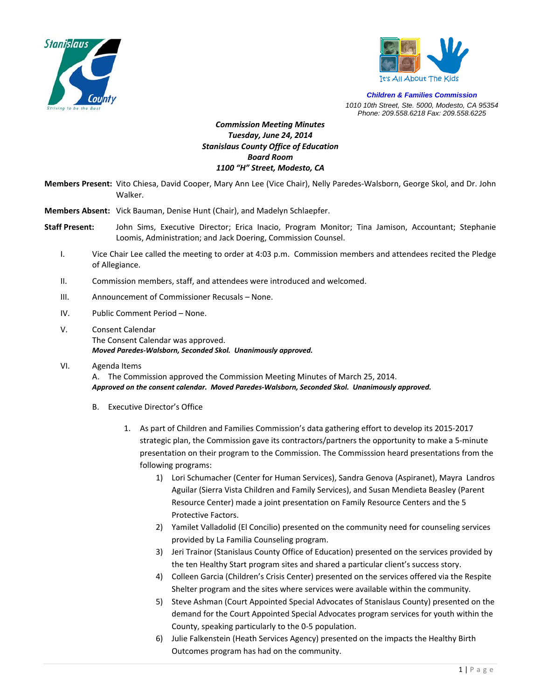



*Children & Families Commission 1010 10th Street, Ste. 5000, Modesto, CA 95354 Phone: 209.558.6218 Fax: 209.558.6225*

## *Commission Meeting Minutes Tuesday, June 24, 2014 Stanislaus County Office of Education Board Room 1100 "H" Street, Modesto, CA*

**Members Present:** Vito Chiesa, David Cooper, Mary Ann Lee (Vice Chair), Nelly Paredes‐Walsborn, George Skol, and Dr. John Walker.

**Members Absent:** Vick Bauman, Denise Hunt (Chair), and Madelyn Schlaepfer.

- **Staff Present:** John Sims, Executive Director; Erica Inacio, Program Monitor; Tina Jamison, Accountant; Stephanie Loomis, Administration; and Jack Doering, Commission Counsel.
	- I. Vice Chair Lee called the meeting to order at 4:03 p.m. Commission members and attendees recited the Pledge of Allegiance.
	- II. Commission members, staff, and attendees were introduced and welcomed.
	- III. Announcement of Commissioner Recusals None.
	- IV. Public Comment Period None.
	- V. Consent Calendar The Consent Calendar was approved. *Moved Paredes‐Walsborn, Seconded Skol. Unanimously approved.*
	- VI. Agenda Items A. The Commission approved the Commission Meeting Minutes of March 25, 2014. *Approved on the consent calendar. Moved Paredes‐Walsborn, Seconded Skol. Unanimously approved.*
		- - B. Executive Director's Office
				- 1. As part of Children and Families Commission's data gathering effort to develop its 2015‐2017 strategic plan, the Commission gave its contractors/partners the opportunity to make a 5‐minute presentation on their program to the Commission. The Commisssion heard presentations from the following programs:
					- 1) Lori Schumacher (Center for Human Services), Sandra Genova (Aspiranet), Mayra Landros Aguilar (Sierra Vista Children and Family Services), and Susan Mendieta Beasley (Parent Resource Center) made a joint presentation on Family Resource Centers and the 5 Protective Factors.
					- 2) Yamilet Valladolid (El Concilio) presented on the community need for counseling services provided by La Familia Counseling program.
					- 3) Jeri Trainor (Stanislaus County Office of Education) presented on the services provided by the ten Healthy Start program sites and shared a particular client's success story.
					- 4) Colleen Garcia (Children's Crisis Center) presented on the services offered via the Respite Shelter program and the sites where services were available within the community.
					- 5) Steve Ashman (Court Appointed Special Advocates of Stanislaus County) presented on the demand for the Court Appointed Special Advocates program services for youth within the County, speaking particularly to the 0‐5 population.
					- 6) Julie Falkenstein (Heath Services Agency) presented on the impacts the Healthy Birth Outcomes program has had on the community.